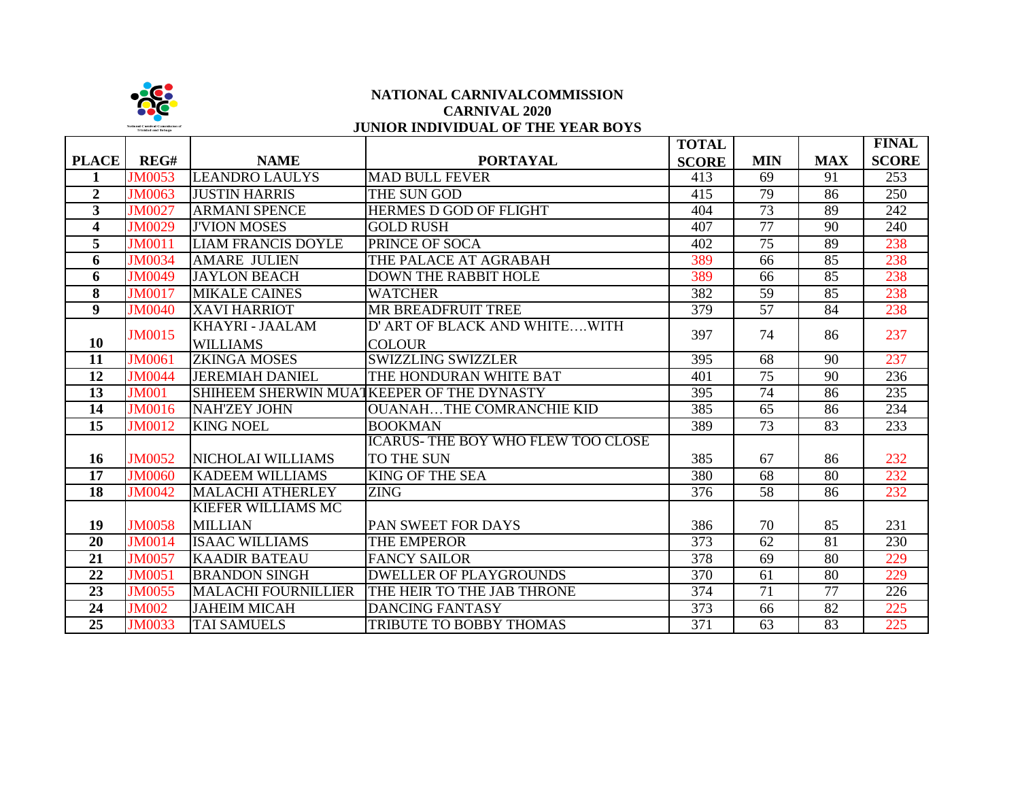

## **NATIONAL CARNIVALCOMMISSION CARNIVAL 2020 JUNIOR INDIVIDUAL OF THE YEAR BOYS**

|                         |               |                            |                                           | <b>TOTAL</b> |                 |            | <b>FINAL</b>     |
|-------------------------|---------------|----------------------------|-------------------------------------------|--------------|-----------------|------------|------------------|
| <b>PLACE</b>            | REG#          | <b>NAME</b>                | <b>PORTAYAL</b>                           | <b>SCORE</b> | <b>MIN</b>      | <b>MAX</b> | <b>SCORE</b>     |
| 1                       | <b>JM0053</b> | <b>LEANDRO LAULYS</b>      | <b>MAD BULL FEVER</b>                     | 413          | 69              | 91         | $\overline{253}$ |
| $\mathbf{2}$            | <b>JM0063</b> | <b>JUSTIN HARRIS</b>       | THE SUN GOD                               | 415          | 79              | 86         | 250              |
| $\mathbf{3}$            | <b>JM0027</b> | <b>ARMANI SPENCE</b>       | <b>HERMES D GOD OF FLIGHT</b>             | 404          | $\overline{73}$ | 89         | 242              |
| $\overline{\mathbf{4}}$ | <b>JM0029</b> | <b>J'VION MOSES</b>        | <b>GOLD RUSH</b>                          | 407          | 77              | 90         | 240              |
| 5                       | <b>JM0011</b> | <b>LIAM FRANCIS DOYLE</b>  | PRINCE OF SOCA                            | 402          | $\overline{75}$ | 89         | 238              |
| 6                       | <b>JM0034</b> | <b>AMARE JULIEN</b>        | THE PALACE AT AGRABAH                     | 389          | 66              | 85         | 238              |
| 6                       | <b>JM0049</b> | <b>JAYLON BEACH</b>        | <b>DOWN THE RABBIT HOLE</b>               | 389          | 66              | 85         | 238              |
| 8                       | <b>JM0017</b> | <b>MIKALE CAINES</b>       | <b>WATCHER</b>                            | 382          | 59              | 85         | 238              |
| $\overline{9}$          | <b>JM0040</b> | <b>XAVI HARRIOT</b>        | <b>MR BREADFRUIT TREE</b>                 | 379          | $\overline{57}$ | 84         | 238              |
|                         | <b>JM0015</b> | KHAYRI - JAALAM            | D' ART OF BLACK AND WHITEWITH             |              | 74              | 86         | 237              |
| 10                      |               | <b>WILLIAMS</b>            | <b>COLOUR</b>                             | 397          |                 |            |                  |
| 11                      | <b>JM0061</b> | <b>ZKINGA MOSES</b>        | <b>SWIZZLING SWIZZLER</b>                 | 395          | 68              | 90         | 237              |
| 12                      | <b>JM0044</b> | <b>JEREMIAH DANIEL</b>     | THE HONDURAN WHITE BAT                    | 401          | 75              | 90         | 236              |
| 13                      | <b>JM001</b>  |                            | SHIHEEM SHERWIN MUATKEEPER OF THE DYNASTY | 395          | 74              | 86         | 235              |
| 14                      | <b>JM0016</b> | <b>NAH'ZEY JOHN</b>        | <b>OUANAHTHE COMRANCHIE KID</b>           | 385          | 65              | 86         | 234              |
| 15                      | <b>JM0012</b> | <b>KING NOEL</b>           | <b>BOOKMAN</b>                            | 389          | 73              | 83         | 233              |
|                         |               |                            | <b>ICARUS-THE BOY WHO FLEW TOO CLOSE</b>  |              |                 |            |                  |
| 16                      | <b>JM0052</b> | NICHOLAI WILLIAMS          | TO THE SUN                                | 385          | 67              | 86         | 232              |
| 17                      | <b>JM0060</b> | <b>KADEEM WILLIAMS</b>     | <b>KING OF THE SEA</b>                    | 380          | 68              | 80         | 232              |
| 18                      | <b>JM0042</b> | <b>MALACHI ATHERLEY</b>    | <b>ZING</b>                               | 376          | 58              | 86         | 232              |
|                         |               | <b>KIEFER WILLIAMS MC</b>  |                                           |              |                 |            |                  |
| 19                      | <b>JM0058</b> | <b>MILLIAN</b>             | PAN SWEET FOR DAYS                        | 386          | 70              | 85         | 231              |
| 20                      | <b>JM0014</b> | <b>ISAAC WILLIAMS</b>      | THE EMPEROR                               | 373          | 62              | 81         | 230              |
| 21                      | <b>JM0057</b> | <b>KAADIR BATEAU</b>       | <b>FANCY SAILOR</b>                       | 378          | 69              | 80         | 229              |
| 22                      | <b>JM0051</b> | <b>BRANDON SINGH</b>       | <b>DWELLER OF PLAYGROUNDS</b>             | 370          | 61              | 80         | 229              |
| 23                      | <b>JM0055</b> | <b>MALACHI FOURNILLIER</b> | THE HEIR TO THE JAB THRONE                | 374          | 71              | 77         | 226              |
| 24                      | <b>JM002</b>  | <b>JAHEIM MICAH</b>        | <b>DANCING FANTASY</b>                    | 373          | 66              | 82         | 225              |
| 25                      | <b>JM0033</b> | <b>TAI SAMUELS</b>         | <b>TRIBUTE TO BOBBY THOMAS</b>            | 371          | 63              | 83         | 225              |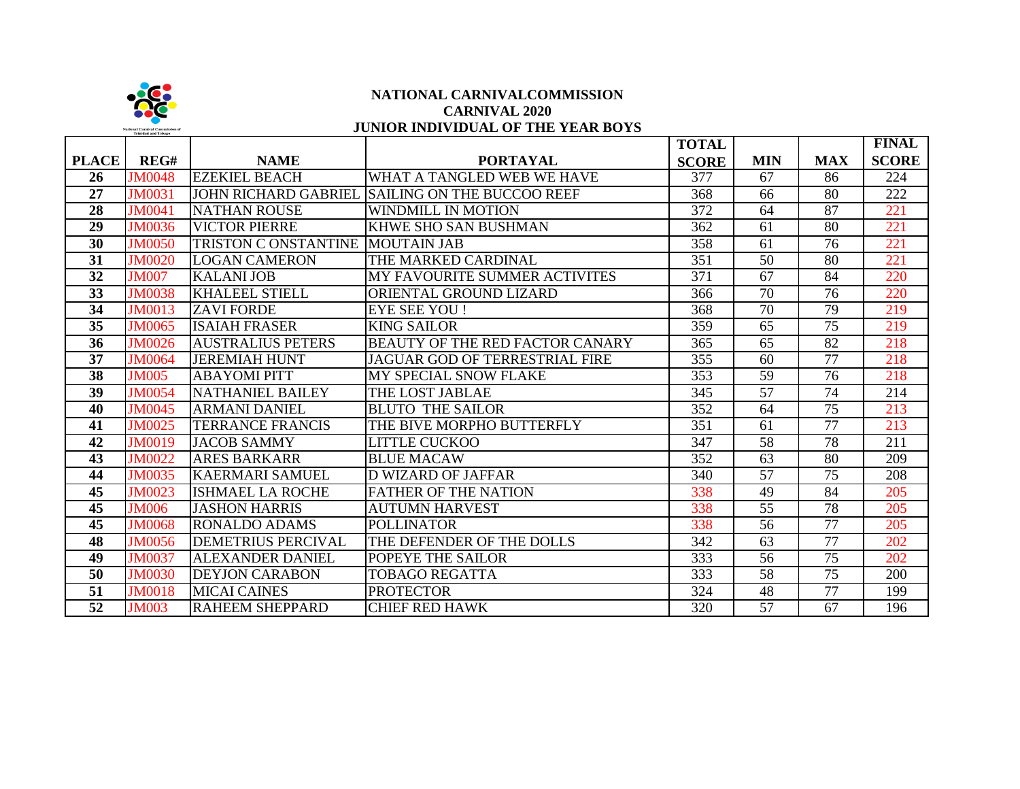

## **NATIONAL CARNIVALCOMMISSION CARNIVAL 2020 JUNIOR INDIVIDUAL OF THE YEAR BOYS**

|                 |               |                                  |                                                 | <b>TOTAL</b>     |                 |            | <b>FINAL</b> |
|-----------------|---------------|----------------------------------|-------------------------------------------------|------------------|-----------------|------------|--------------|
| <b>PLACE</b>    | REG#          | <b>NAME</b>                      | <b>PORTAYAL</b>                                 | <b>SCORE</b>     | <b>MIN</b>      | <b>MAX</b> | <b>SCORE</b> |
| 26              | <b>JM0048</b> | <b>EZEKIEL BEACH</b>             | WHAT A TANGLED WEB WE HAVE                      | 377              | 67              | 86         | 224          |
| 27              | <b>JM0031</b> |                                  | JOHN RICHARD GABRIEL SAILING ON THE BUCCOO REEF | 368              | 66              | 80         | 222          |
| 28              | <b>JM0041</b> | <b>NATHAN ROUSE</b>              | <b>WINDMILL IN MOTION</b>                       | 372              | 64              | 87         | 221          |
| 29              | <b>JM0036</b> | <b>VICTOR PIERRE</b>             | <b>KHWE SHO SAN BUSHMAN</b>                     | 362              | 61              | 80         | 221          |
| 30              | <b>JM0050</b> | TRISTON C ONSTANTINE MOUTAIN JAB |                                                 | 358              | 61              | 76         | 221          |
| 31              | <b>JM0020</b> | <b>LOGAN CAMERON</b>             | THE MARKED CARDINAL                             | 351              | 50              | 80         | 221          |
| 32              | <b>JM007</b>  | <b>KALANI JOB</b>                | MY FAVOURITE SUMMER ACTIVITES                   | 371              | 67              | 84         | 220          |
| 33              | <b>JM0038</b> | <b>KHALEEL STIELL</b>            | ORIENTAL GROUND LIZARD                          | 366              | 70              | 76         | 220          |
| $\overline{34}$ | <b>JM0013</b> | <b>ZAVI FORDE</b>                | <b>EYE SEE YOU!</b>                             | $\overline{368}$ | $\overline{70}$ | 79         | 219          |
| 35              | <b>JM0065</b> | <b>ISAIAH FRASER</b>             | <b>KING SAILOR</b>                              | 359              | 65              | 75         | 219          |
| 36              | <b>JM0026</b> | <b>AUSTRALIUS PETERS</b>         | BEAUTY OF THE RED FACTOR CANARY                 | 365              | 65              | 82         | 218          |
| 37              | <b>JM0064</b> | <b>JEREMIAH HUNT</b>             | <b>JAGUAR GOD OF TERRESTRIAL FIRE</b>           | 355              | 60              | 77         | 218          |
| 38              | <b>JM005</b>  | <b>ABAYOMI PITT</b>              | MY SPECIAL SNOW FLAKE                           | 353              | 59              | 76         | 218          |
| 39              | <b>JM0054</b> | <b>NATHANIEL BAILEY</b>          | THE LOST JABLAE                                 | 345              | 57              | 74         | 214          |
| 40              | <b>JM0045</b> | <b>ARMANI DANIEL</b>             | <b>BLUTO THE SAILOR</b>                         | 352              | 64              | 75         | 213          |
| 41              | <b>JM0025</b> | <b>TERRANCE FRANCIS</b>          | THE BIVE MORPHO BUTTERFLY                       | 351              | 61              | 77         | 213          |
| 42              | <b>JM0019</b> | <b>JACOB SAMMY</b>               | <b>LITTLE CUCKOO</b>                            | 347              | $\overline{58}$ | 78         | 211          |
| 43              | <b>JM0022</b> | <b>ARES BARKARR</b>              | <b>BLUE MACAW</b>                               | 352              | 63              | 80         | 209          |
| 44              | <b>JM0035</b> | <b>KAERMARI SAMUEL</b>           | <b>D WIZARD OF JAFFAR</b>                       | 340              | 57              | 75         | 208          |
| 45              | <b>JM0023</b> | <b>ISHMAEL LA ROCHE</b>          | <b>FATHER OF THE NATION</b>                     | 338              | 49              | 84         | 205          |
| $\overline{45}$ | <b>JM006</b>  | <b>JASHON HARRIS</b>             | <b>AUTUMN HARVEST</b>                           | 338              | $\overline{55}$ | 78         | 205          |
| 45              | <b>JM0068</b> | <b>RONALDO ADAMS</b>             | <b>POLLINATOR</b>                               | 338              | 56              | 77         | 205          |
| 48              | <b>JM0056</b> | <b>DEMETRIUS PERCIVAL</b>        | THE DEFENDER OF THE DOLLS                       | 342              | 63              | 77         | 202          |
| 49              | <b>JM0037</b> | <b>ALEXANDER DANIEL</b>          | POPEYE THE SAILOR                               | 333              | 56              | 75         | 202          |
| $\overline{50}$ | <b>JM0030</b> | <b>DEYJON CARABON</b>            | <b>TOBAGO REGATTA</b>                           | 333              | $\overline{58}$ | 75         | 200          |
| 51              | <b>JM0018</b> | <b>MICAI CAINES</b>              | <b>PROTECTOR</b>                                | 324              | 48              | 77         | 199          |
| $\overline{52}$ | <b>JM003</b>  | <b>RAHEEM SHEPPARD</b>           | <b>CHIEF RED HAWK</b>                           | 320              | 57              | 67         | 196          |